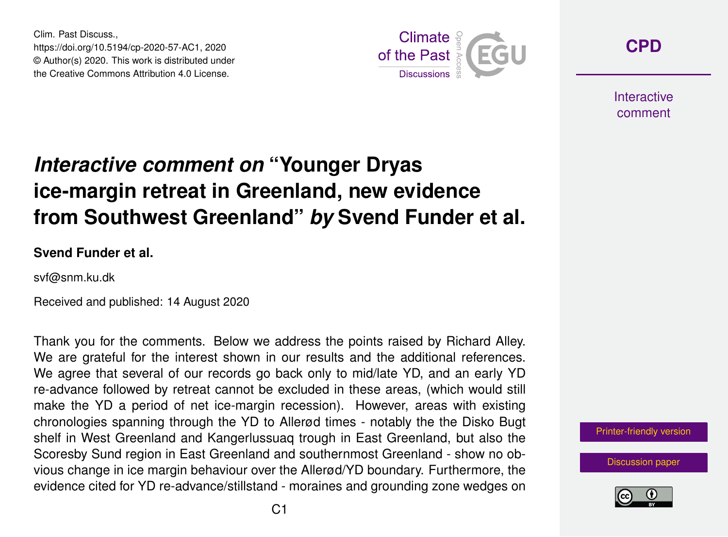Clim. Past Discuss., https://doi.org/10.5194/cp-2020-57-AC1, 2020 © Author(s) 2020. This work is distributed under the Creative Commons Attribution 4.0 License.



**[CPD](https://cp.copernicus.org/preprints/)**

**Interactive** comment

## *Interactive comment on* **"Younger Dryas ice-margin retreat in Greenland, new evidence from Southwest Greenland"** *by* **Svend Funder et al.**

**Svend Funder et al.**

svf@snm.ku.dk

Received and published: 14 August 2020

Thank you for the comments. Below we address the points raised by Richard Alley. We are grateful for the interest shown in our results and the additional references. We agree that several of our records go back only to mid/late YD, and an early YD re-advance followed by retreat cannot be excluded in these areas, (which would still make the YD a period of net ice-margin recession). However, areas with existing chronologies spanning through the YD to Allerød times - notably the the Disko Bugt shelf in West Greenland and Kangerlussuaq trough in East Greenland, but also the Scoresby Sund region in East Greenland and southernmost Greenland - show no obvious change in ice margin behaviour over the Allerød/YD boundary. Furthermore, the evidence cited for YD re-advance/stillstand - moraines and grounding zone wedges on

[Printer-friendly version](https://cp.copernicus.org/preprints/cp-2020-57/cp-2020-57-AC1-print.pdf)

[Discussion paper](https://cp.copernicus.org/preprints/cp-2020-57)